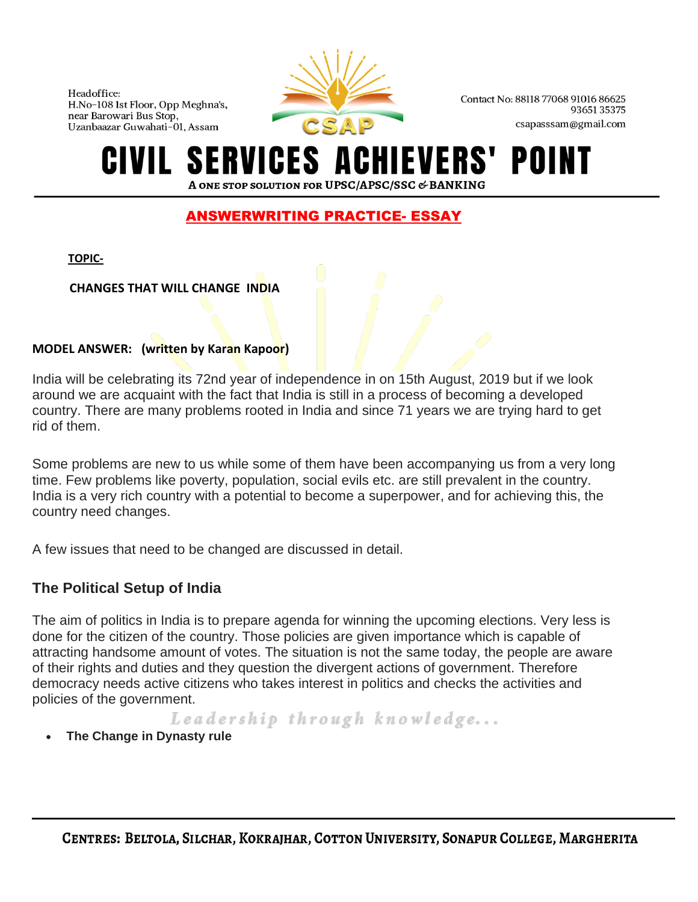

Contact No: 88118 77068 91016 86625 9365135375 csapasssam@gmail.com

## ICES A POI A ONE STOP SOLUTION FOR UPSC/APSC/SSC & BANKING

# ANSWERWRITING PRACTICE- ESSAY

**TOPIC-**

 **CHANGES THAT WILL CHANGE INDIA**

#### **MODEL ANSWER: (written by Karan Kapoor)**

India will be celebrating its 72nd year of independence in on 15th August, 2019 but if we look around we are acquaint with the fact that India is still in a process of becoming a developed country. There are many problems rooted in India and since 71 years we are trying hard to get rid of them.

Some problems are new to us while some of them have been accompanying us from a very long time. Few problems like poverty, population, social evils etc. are still prevalent in the country. India is a very rich country with a potential to become a superpower, and for achieving this, the country need changes.

A few issues that need to be changed are discussed in detail.

# **The Political Setup of India**

The aim of politics in India is to prepare agenda for winning the upcoming elections. Very less is done for the citizen of the country. Those policies are given importance which is capable of attracting handsome amount of votes. The situation is not the same today, the people are aware of their rights and duties and they question the divergent actions of government. Therefore democracy needs active citizens who takes interest in politics and checks the activities and policies of the government.

Leadership through knowledge...

**The Change in Dynasty rule**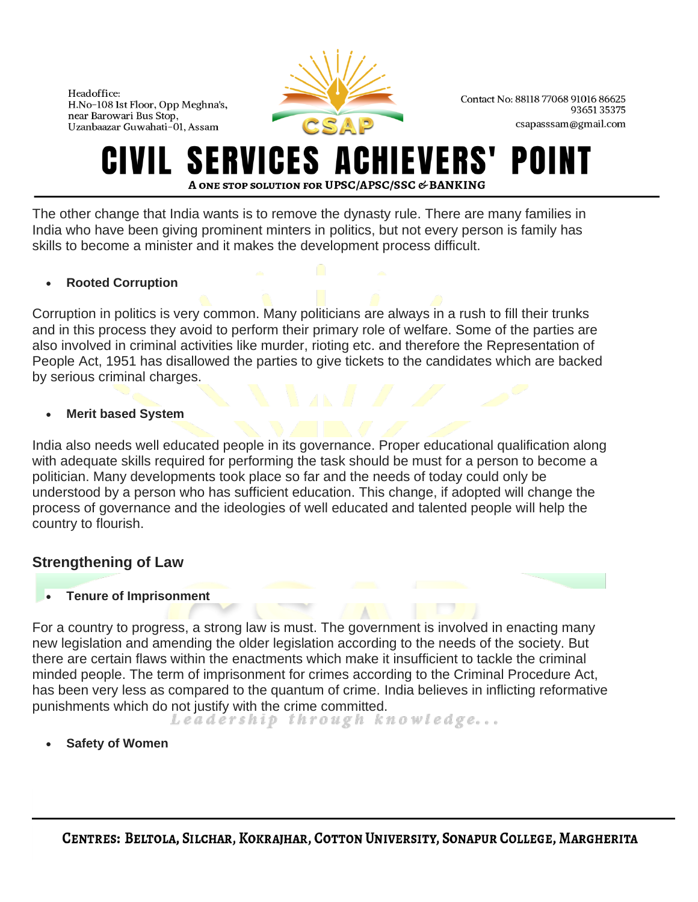

Contact No: 88118 77068 91016 86625 9365135375 csapasssam@gmail.com

# RVICES A POI **A ONE STOP SOLUTION FOR UPSC/APSC/SSC & BANKING**

The other change that India wants is to remove the dynasty rule. There are many families in India who have been giving prominent minters in politics, but not every person is family has skills to become a minister and it makes the development process difficult.

## • **Rooted Corruption**

Corruption in politics is very common. Many politicians are always in a rush to fill their trunks and in this process they avoid to perform their primary role of welfare. Some of the parties are also involved in criminal activities like murder, rioting etc. and therefore the Representation of People Act, 1951 has disallowed the parties to give tickets to the candidates which are backed by serious criminal charges.

## • **Merit based System**

India also needs well educated people in its governance. Proper educational qualification along with adequate skills required for performing the task should be must for a person to become a politician. Many developments took place so far and the needs of today could only be understood by a person who has sufficient education. This change, if adopted will change the process of governance and the ideologies of well educated and talented people will help the country to flourish.

# **Strengthening of Law**

• **Tenure of Imprisonment**

For a country to progress, a strong law is must. The government is involved in enacting many new legislation and amending the older legislation according to the needs of the society. But there are certain flaws within the enactments which make it insufficient to tackle the criminal minded people. The term of imprisonment for crimes according to the Criminal Procedure Act, has been very less as compared to the quantum of crime. India believes in inflicting reformative punishments which do not justify with the crime committed.<br>Leadership through knowledge...

• **Safety of Women**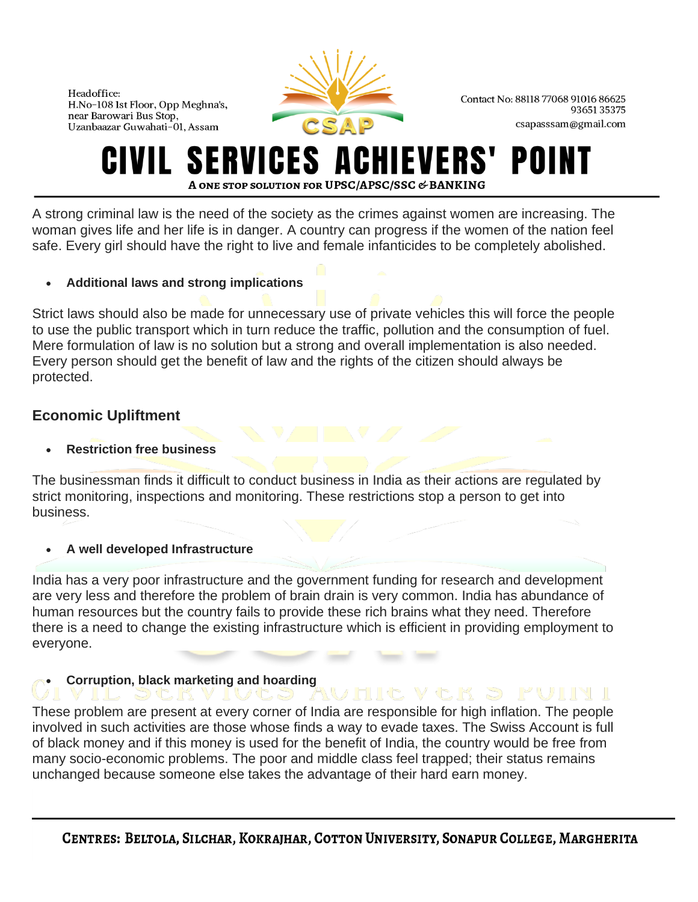

Contact No: 88118 77068 91016 86625 9365135375 csapasssam@gmail.com

#### ERVICES A EVERS POI A ONE STOP SOLUTION FOR UPSC/APSC/SSC & BANKING

A strong criminal law is the need of the society as the crimes against women are increasing. The woman gives life and her life is in danger. A country can progress if the women of the nation feel safe. Every girl should have the right to live and female infanticides to be completely abolished.

## • **Additional laws and strong implications**

Strict laws should also be made for unnecessary use of private vehicles this will force the people to use the public transport which in turn reduce the traffic, pollution and the consumption of fuel. Mere formulation of law is no solution but a strong and overall implementation is also needed. Every person should get the benefit of law and the rights of the citizen should always be protected.

# **Economic Upliftment**

• **Restriction free business**

The businessman finds it difficult to conduct business in India as their actions are regulated by strict monitoring, inspections and monitoring. These restrictions stop a person to get into business.

## • **A well developed Infrastructure**

India has a very poor infrastructure and the government funding for research and development are very less and therefore the problem of brain drain is very common. India has abundance of human resources but the country fails to provide these rich brains what they need. Therefore there is a need to change the existing infrastructure which is efficient in providing employment to everyone.

# • **Corruption, black marketing and hoarding**

These problem are present at every corner of India are responsible for high inflation. The people involved in such activities are those whose finds a way to evade taxes. The Swiss Account is full of black money and if this money is used for the benefit of India, the country would be free from many socio-economic problems. The poor and middle class feel trapped; their status remains unchanged because someone else takes the advantage of their hard earn money.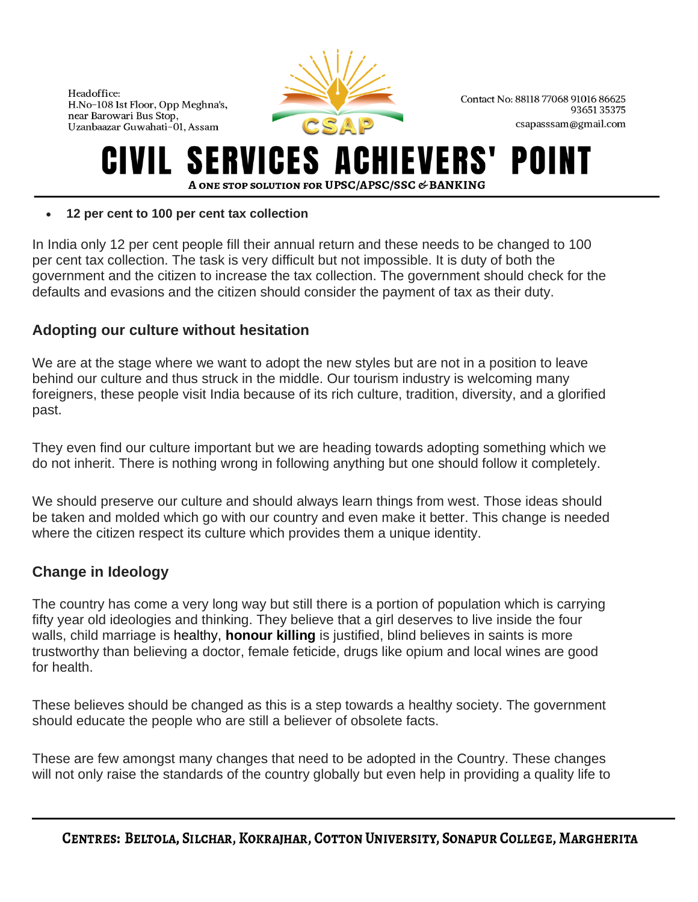

Contact No: 88118 77068 91016 86625 9365135375 csapasssam@gmail.com

## ERVICES A POII A ONE STOP SOLUTION FOR UPSC/APSC/SSC & BANKING

#### • **12 per cent to 100 per cent tax collection**

In India only 12 per cent people fill their annual return and these needs to be changed to 100 per cent tax collection. The task is very difficult but not impossible. It is duty of both the government and the citizen to increase the tax collection. The government should check for the defaults and evasions and the citizen should consider the payment of tax as their duty.

# **Adopting our culture without hesitation**

We are at the stage where we want to adopt the new styles but are not in a position to leave behind our culture and thus struck in the middle. Our tourism industry is welcoming many foreigners, these people visit India because of its rich culture, tradition, diversity, and a glorified past.

They even find our culture important but we are heading towards adopting something which we do not inherit. There is nothing wrong in following anything but one should follow it completely.

We should preserve our culture and should always learn things from west. Those ideas should be taken and molded which go with our country and even make it better. This change is needed where the citizen respect its culture which provides them a unique identity.

# **Change in Ideology**

The country has come a very long way but still there is a portion of population which is carrying fifty year old ideologies and thinking. They believe that a girl deserves to live inside the four walls, child marriage is healthy, **[honour killing](https://upscbuddy.com/honour-killing-in-india/)** is justified, blind believes in saints is more trustworthy than believing a doctor, female feticide, drugs like opium and local wines are good for health.

These believes should be changed as this is a step towards a healthy society. The government should educate the people who are still a believer of obsolete facts.

These are few amongst many changes that need to be adopted in the Country. These changes will not only raise the standards of the country globally but even help in providing a quality life to